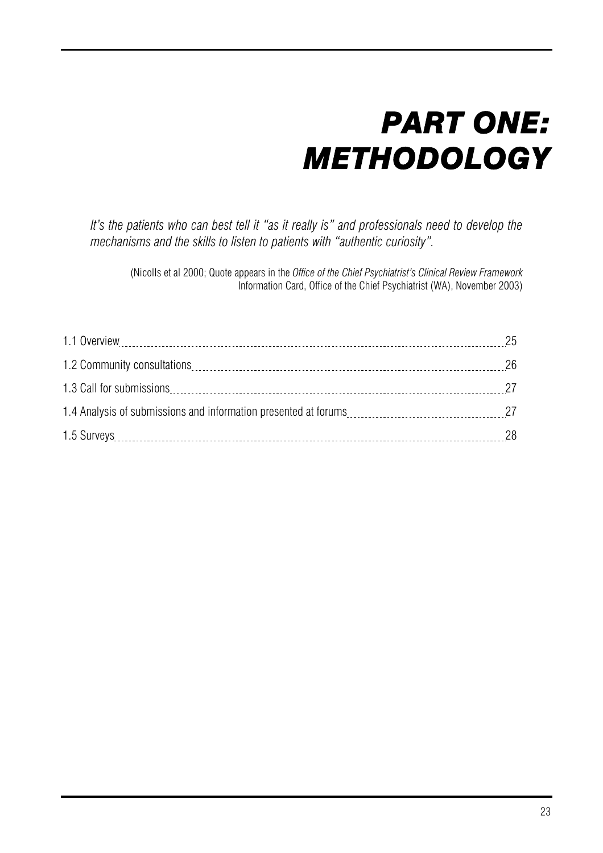# *PART ONE: METHODOLOGY*

*It's the patients who can best tell it "as it really is" and professionals need to develop the mechanisms and the skills to listen to patients with "authentic curiosity".* 

(Nicolls et al 2000; Quote appears in the *Office of the Chief Psychiatrist's Clinical Review Framework* Information Card, Office of the Chief Psychiatrist (WA), November 2003)

| 28 |
|----|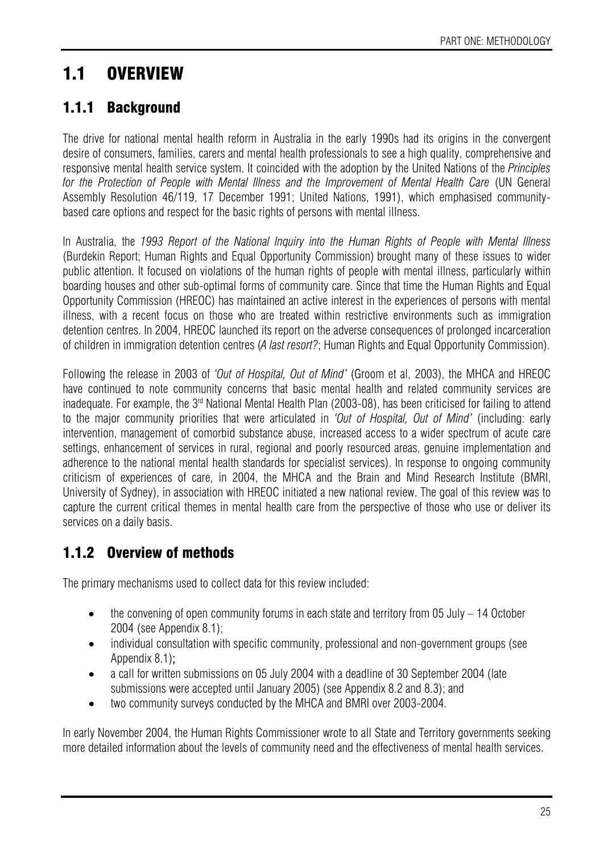## 1.1 OVERVIEW

#### 1.1.1 Background

The drive for national mental health reform in Australia in the early 1990s had its origins in the convergent desire of consumers, families, carers and mental health professionals to see a high quality, comprehensive and responsive mental health service system. It coincided with the adoption by the United Nations of the *Principles*  for the Protection of People with Mental Illness and the Improvement of Mental Health Care (UN General Assembly Resolution 46/119, 17 December 1991; United Nations, 1991), which emphasised communitybased care options and respect for the basic rights of persons with mental illness.

In Australia, the *1993 Report of the National Inquiry into the Human Rights of People with Mental Illness* (Burdekin Report; Human Rights and Equal Opportunity Commission) brought many of these issues to wider public attention. It focused on violations of the human rights of people with mental illness, particularly within boarding houses and other sub-optimal forms of community care. Since that time the Human Rights and Equal Opportunity Commission (HREOC) has maintained an active interest in the experiences of persons with mental illness, with a recent focus on those who are treated within restrictive environments such as immigration detention centres. In 2004, HREOC launched its report on the adverse consequences of prolonged incarceration of children in immigration detention centres (*A last resort?*; Human Rights and Equal Opportunity Commission).

Following the release in 2003 of *'Out of Hospital, Out of Mind'* (Groom et al, 2003), the MHCA and HREOC have continued to note community concerns that basic mental health and related community services are inadequate. For example, the  $3<sup>rd</sup>$  National Mental Health Plan (2003-08), has been criticised for failing to attend to the major community priorities that were articulated in *'Out of Hospital, Out of Mind'* (including: early intervention, management of comorbid substance abuse, increased access to a wider spectrum of acute care settings, enhancement of services in rural, regional and poorly resourced areas, genuine implementation and adherence to the national mental health standards for specialist services). In response to ongoing community criticism of experiences of care, in 2004, the MHCA and the Brain and Mind Research Institute (BMRI, University of Sydney), in association with HREOC initiated a new national review. The goal of this review was to capture the current critical themes in mental health care from the perspective of those who use or deliver its services on a daily basis.

#### 1.1.2 Overview of methods

The primary mechanisms used to collect data for this review included:

- the convening of open community forums in each state and territory from 05 July  $-14$  October 2004 (see Appendix 8.1);
- individual consultation with specific community, professional and non-government groups (see Appendix 8.1);
- a call for written submissions on 05 July 2004 with a deadline of 30 September 2004 (late submissions were accepted until January 2005) (see Appendix 8.2 and 8.3); and
- two community surveys conducted by the MHCA and BMRI over 2003-2004.

In early November 2004, the Human Rights Commissioner wrote to all State and Territory governments seeking more detailed information about the levels of community need and the effectiveness of mental health services.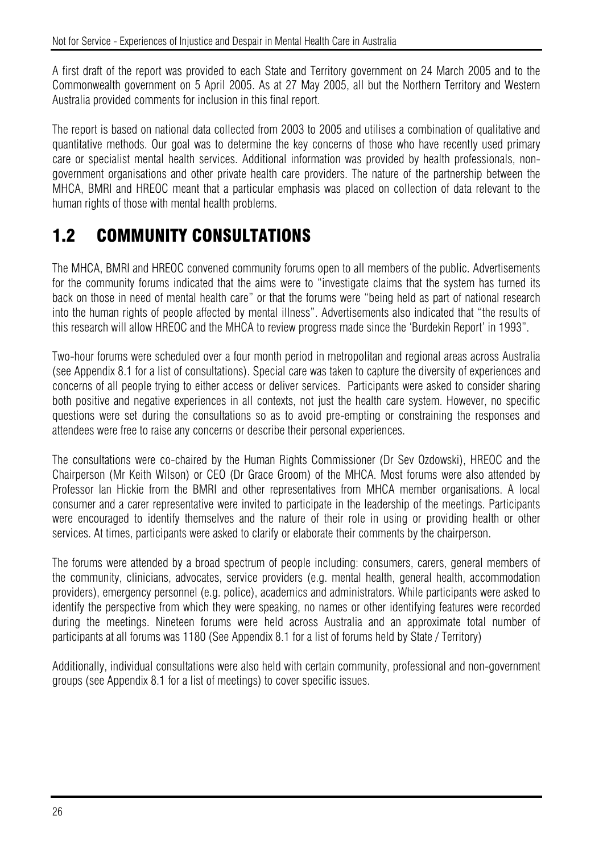A first draft of the report was provided to each State and Territory government on 24 March 2005 and to the Commonwealth government on 5 April 2005. As at 27 May 2005, all but the Northern Territory and Western Australia provided comments for inclusion in this final report.

The report is based on national data collected from 2003 to 2005 and utilises a combination of qualitative and quantitative methods. Our goal was to determine the key concerns of those who have recently used primary care or specialist mental health services. Additional information was provided by health professionals, nongovernment organisations and other private health care providers. The nature of the partnership between the MHCA, BMRI and HREOC meant that a particular emphasis was placed on collection of data relevant to the human rights of those with mental health problems.

#### 1.2 COMMUNITY CONSULTATIONS

The MHCA, BMRI and HREOC convened community forums open to all members of the public. Advertisements for the community forums indicated that the aims were to "investigate claims that the system has turned its back on those in need of mental health care" or that the forums were "being held as part of national research into the human rights of people affected by mental illness". Advertisements also indicated that "the results of this research will allow HREOC and the MHCA to review progress made since the 'Burdekin Report' in 1993".

Two-hour forums were scheduled over a four month period in metropolitan and regional areas across Australia (see Appendix 8.1 for a list of consultations). Special care was taken to capture the diversity of experiences and concerns of all people trying to either access or deliver services. Participants were asked to consider sharing both positive and negative experiences in all contexts, not just the health care system. However, no specific questions were set during the consultations so as to avoid pre-empting or constraining the responses and attendees were free to raise any concerns or describe their personal experiences.

The consultations were co-chaired by the Human Rights Commissioner (Dr Sev Ozdowski), HREOC and the Chairperson (Mr Keith Wilson) or CEO (Dr Grace Groom) of the MHCA. Most forums were also attended by Professor Ian Hickie from the BMRI and other representatives from MHCA member organisations. A local consumer and a carer representative were invited to participate in the leadership of the meetings. Participants were encouraged to identify themselves and the nature of their role in using or providing health or other services. At times, participants were asked to clarify or elaborate their comments by the chairperson.

The forums were attended by a broad spectrum of people including: consumers, carers, general members of the community, clinicians, advocates, service providers (e.g. mental health, general health, accommodation providers), emergency personnel (e.g. police), academics and administrators. While participants were asked to identify the perspective from which they were speaking, no names or other identifying features were recorded during the meetings. Nineteen forums were held across Australia and an approximate total number of participants at all forums was 1180 (See Appendix 8.1 for a list of forums held by State / Territory)

Additionally, individual consultations were also held with certain community, professional and non-government groups (see Appendix 8.1 for a list of meetings) to cover specific issues.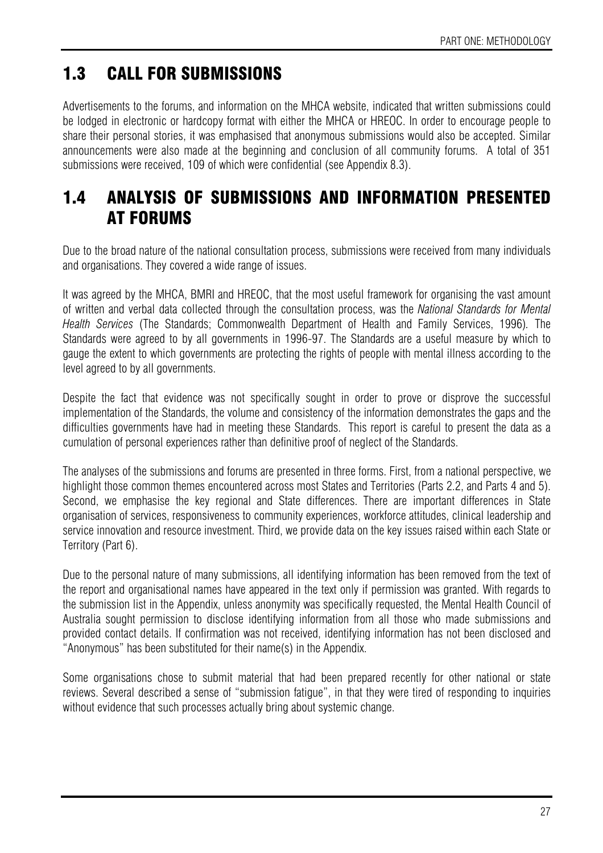### 1.3 CALL FOR SUBMISSIONS

Advertisements to the forums, and information on the MHCA website, indicated that written submissions could be lodged in electronic or hardcopy format with either the MHCA or HREOC. In order to encourage people to share their personal stories, it was emphasised that anonymous submissions would also be accepted. Similar announcements were also made at the beginning and conclusion of all community forums. A total of 351 submissions were received, 109 of which were confidential (see Appendix 8.3).

#### 1.4 ANALYSIS OF SUBMISSIONS AND INFORMATION PRESENTED AT FORUMS

Due to the broad nature of the national consultation process, submissions were received from many individuals and organisations. They covered a wide range of issues.

It was agreed by the MHCA, BMRI and HREOC, that the most useful framework for organising the vast amount of written and verbal data collected through the consultation process, was the *National Standards for Mental Health Services* (The Standards; Commonwealth Department of Health and Family Services, 1996)*.* The Standards were agreed to by all governments in 1996-97. The Standards are a useful measure by which to gauge the extent to which governments are protecting the rights of people with mental illness according to the level agreed to by all governments.

Despite the fact that evidence was not specifically sought in order to prove or disprove the successful implementation of the Standards, the volume and consistency of the information demonstrates the gaps and the difficulties governments have had in meeting these Standards. This report is careful to present the data as a cumulation of personal experiences rather than definitive proof of neglect of the Standards.

The analyses of the submissions and forums are presented in three forms. First, from a national perspective, we highlight those common themes encountered across most States and Territories (Parts 2.2, and Parts 4 and 5). Second, we emphasise the key regional and State differences. There are important differences in State organisation of services, responsiveness to community experiences, workforce attitudes, clinical leadership and service innovation and resource investment. Third, we provide data on the key issues raised within each State or Territory (Part 6).

Due to the personal nature of many submissions, all identifying information has been removed from the text of the report and organisational names have appeared in the text only if permission was granted. With regards to the submission list in the Appendix, unless anonymity was specifically requested, the Mental Health Council of Australia sought permission to disclose identifying information from all those who made submissions and provided contact details. If confirmation was not received, identifying information has not been disclosed and "Anonymous" has been substituted for their name(s) in the Appendix.

Some organisations chose to submit material that had been prepared recently for other national or state reviews. Several described a sense of "submission fatigue", in that they were tired of responding to inquiries without evidence that such processes actually bring about systemic change.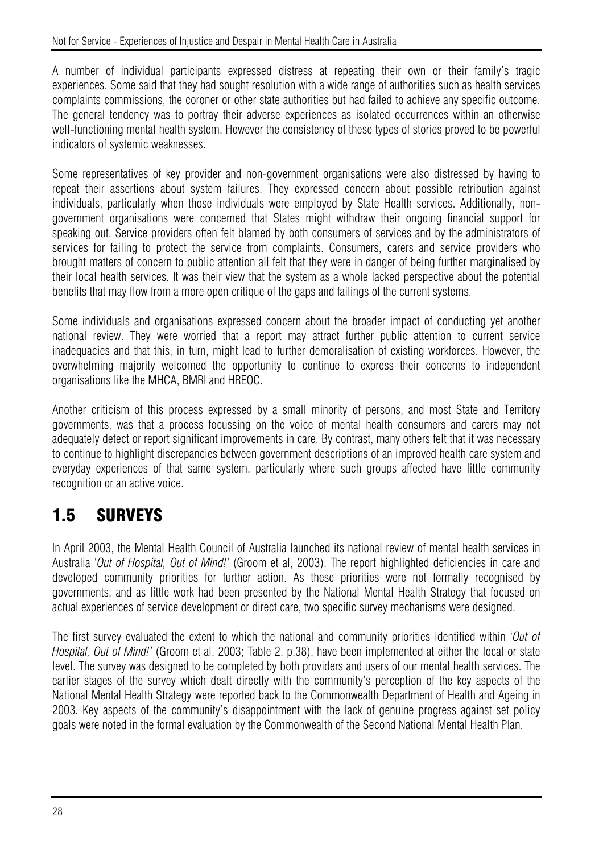#### Not for Service - Experiences of Injustice and Despair in Mental Health Care in Australia

A number of individual participants expressed distress at repeating their own or their family's tragic experiences. Some said that they had sought resolution with a wide range of authorities such as health services complaints commissions, the coroner or other state authorities but had failed to achieve any specific outcome. The general tendency was to portray their adverse experiences as isolated occurrences within an otherwise well-functioning mental health system. However the consistency of these types of stories proved to be powerful indicators of systemic weaknesses.

Some representatives of key provider and non-government organisations were also distressed by having to repeat their assertions about system failures. They expressed concern about possible retribution against individuals, particularly when those individuals were employed by State Health services. Additionally, nongovernment organisations were concerned that States might withdraw their ongoing financial support for speaking out. Service providers often felt blamed by both consumers of services and by the administrators of services for failing to protect the service from complaints. Consumers, carers and service providers who brought matters of concern to public attention all felt that they were in danger of being further marginalised by their local health services. It was their view that the system as a whole lacked perspective about the potential benefits that may flow from a more open critique of the gaps and failings of the current systems.

Some individuals and organisations expressed concern about the broader impact of conducting yet another national review. They were worried that a report may attract further public attention to current service inadequacies and that this, in turn, might lead to further demoralisation of existing workforces. However, the overwhelming majority welcomed the opportunity to continue to express their concerns to independent organisations like the MHCA, BMRI and HREOC.

Another criticism of this process expressed by a small minority of persons, and most State and Territory governments, was that a process focussing on the voice of mental health consumers and carers may not adequately detect or report significant improvements in care. By contrast, many others felt that it was necessary to continue to highlight discrepancies between government descriptions of an improved health care system and everyday experiences of that same system, particularly where such groups affected have little community recognition or an active voice.

#### 1.5 SURVEYS

In April 2003, the Mental Health Council of Australia launched its national review of mental health services in Australia '*Out of Hospital, Out of Mind!'* (Groom et al, 2003). The report highlighted deficiencies in care and developed community priorities for further action. As these priorities were not formally recognised by governments, and as little work had been presented by the National Mental Health Strategy that focused on actual experiences of service development or direct care, two specific survey mechanisms were designed.

The first survey evaluated the extent to which the national and community priorities identified within '*Out of Hospital, Out of Mind!'* (Groom et al, 2003; Table 2, p.38), have been implemented at either the local or state level. The survey was designed to be completed by both providers and users of our mental health services. The earlier stages of the survey which dealt directly with the community's perception of the key aspects of the National Mental Health Strategy were reported back to the Commonwealth Department of Health and Ageing in 2003. Key aspects of the community's disappointment with the lack of genuine progress against set policy goals were noted in the formal evaluation by the Commonwealth of the Second National Mental Health Plan.